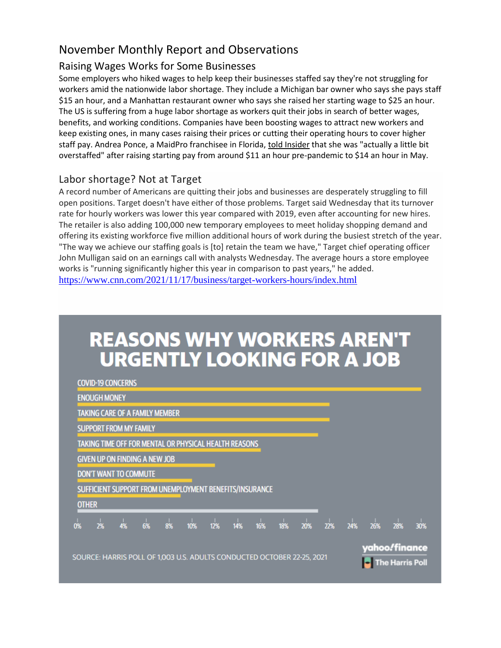### Raising Wages Works for Some Businesses

Some employers who hiked wages to help keep their businesses staffed say they're not struggling for workers amid the nationwide labor shortage. They include a Michigan bar owner who says she pays staff \$15 an hour, and a Manhattan restaurant owner who says she raised her starting wage to \$25 an hour. The US is suffering from a huge labor shortage as workers quit their jobs in search of better wages, benefits, and working conditions. Companies have been boosting wages to attract new workers and keep existing ones, in many cases raising their prices or cutting their operating hours to cover higher staff pay. Andrea Ponce, a MaidPro franchisee in Florida[, told Insider](https://www.businessinsider.com/labor-shortage-cleaning-companies-cancel-clients-customers-jobs-wages-employment-2021-10?r=US&IR=TIR=T) that she was "actually a little bit overstaffed" after raising starting pay from around \$11 an hour pre-pandemic to \$14 an hour in May.

## Labor shortage? Not at Target

A record number of Americans are quitting their jobs and businesses are desperately struggling to fill open positions. Target doesn't have either of those problems. Target said Wednesday that its turnover rate for hourly workers was lower this year compared with 2019, even after accounting for new hires. The retailer is also adding 100,000 new temporary employees to meet holiday shopping demand and offering its existing workforce five million additional hours of work during the busiest stretch of the year. "The way we achieve our staffing goals is [to] retain the team we have," Target chief operating officer John Mulligan said on an earnings call with analysts Wednesday. The average hours a store employee works is "running significantly higher this year in comparison to past years," he added. <https://www.cnn.com/2021/11/17/business/target-workers-hours/index.html>

# **REASONS WHY WORKERS AREN'T URGENTLY LOOKING FOR A JOB**

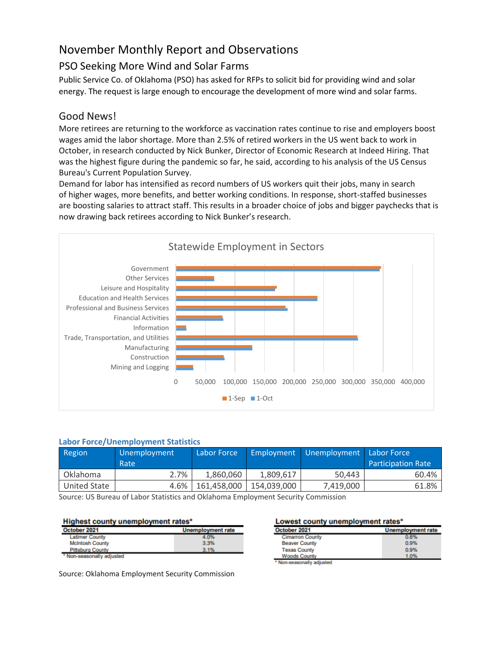## PSO Seeking More Wind and Solar Farms

Public Service Co. of Oklahoma (PSO) has asked for RFPs to solicit bid for providing wind and solar energy. The request is large enough to encourage the development of more wind and solar farms.

### Good News!

More retirees are returning to the workforce as vaccination rates continue to rise and employers boost wages amid the labor shortage. More than 2.5% of retired workers in the US went back to work in October, in research conducted by Nick Bunker, Director of Economic Research at Indeed Hiring. That was the highest figure during the pandemic so far, he said, according to his analysis of the US Census Bureau's Current Population Survey.

Demand for labor has intensified as record numbers of US workers quit their jobs, many in search of higher wages, more benefits, and better working conditions. In response, short-staffed businesses are boosting salaries to attract staff. This results in a broader choice of jobs and bigger paychecks that is now drawing back retirees according to Nick Bunker's research.



#### **Labor Force/Unemployment Statistics**

| <b>Region</b>       | Unemployment | Labor Force |             | Employment   Unemployment   Labor Force |                           |
|---------------------|--------------|-------------|-------------|-----------------------------------------|---------------------------|
|                     | Rate         |             |             |                                         | <b>Participation Rate</b> |
| Oklahoma            | 2.7%         | 1.860.060   | 1,809,617   | 50.443                                  | 60.4%                     |
| <b>United State</b> | 4.6%         | 161.458.000 | 154.039.000 | 7,419,000                               | 61.8%                     |

Source: US Bureau of Labor Statistics and Oklahoma Employment Security Commission

#### Highest county unemployment rates\*

| October 2021                      | <b>Unemployment rate</b> |
|-----------------------------------|--------------------------|
| <b>Latimer County</b>             | 4.0%                     |
| <b>McIntosh County</b>            | 3.3%                     |
| <b>Pittsburg County</b>           | 3.1%                     |
| <b>EALes experiently adjusted</b> |                          |

Non-seasonally adjusted

Source: Oklahoma Employment Security Commission

Lowest county unemployment rates\*

| October 2021           | Unemployment rate |
|------------------------|-------------------|
| <b>Cimarron County</b> | 0.8%              |
| <b>Beaver County</b>   | 0.9%              |
| <b>Texas County</b>    | 0.9%              |
| <b>Woods County</b>    | 1.0%              |
|                        |                   |

Non-seasonally adjusted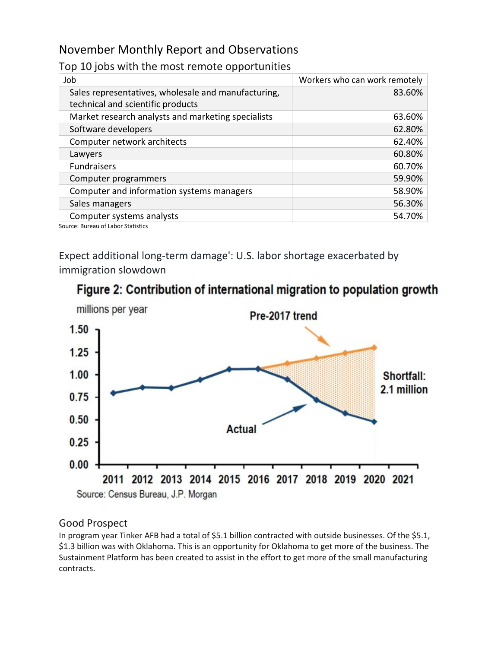### Top 10 jobs with the most remote opportunities

| Job                                                                                      | Workers who can work remotely |
|------------------------------------------------------------------------------------------|-------------------------------|
| Sales representatives, wholesale and manufacturing,<br>technical and scientific products | 83.60%                        |
| Market research analysts and marketing specialists                                       | 63.60%                        |
| Software developers                                                                      | 62.80%                        |
| Computer network architects                                                              | 62.40%                        |
| Lawyers                                                                                  | 60.80%                        |
| <b>Fundraisers</b>                                                                       | 60.70%                        |
| Computer programmers                                                                     | 59.90%                        |
| Computer and information systems managers                                                | 58.90%                        |
| Sales managers                                                                           | 56.30%                        |
| Computer systems analysts                                                                | 54.70%                        |
| Cource: Ruroqu of Labor Statistics                                                       |                               |

ource: Bureau of Labor Statistics

Expect additional long-term damage': U.S. labor shortage exacerbated by immigration slowdown





## Good Prospect

In program year Tinker AFB had a total of \$5.1 billion contracted with outside businesses. Of the \$5.1, \$1.3 billion was with Oklahoma. This is an opportunity for Oklahoma to get more of the business. The Sustainment Platform has been created to assist in the effort to get more of the small manufacturing contracts.